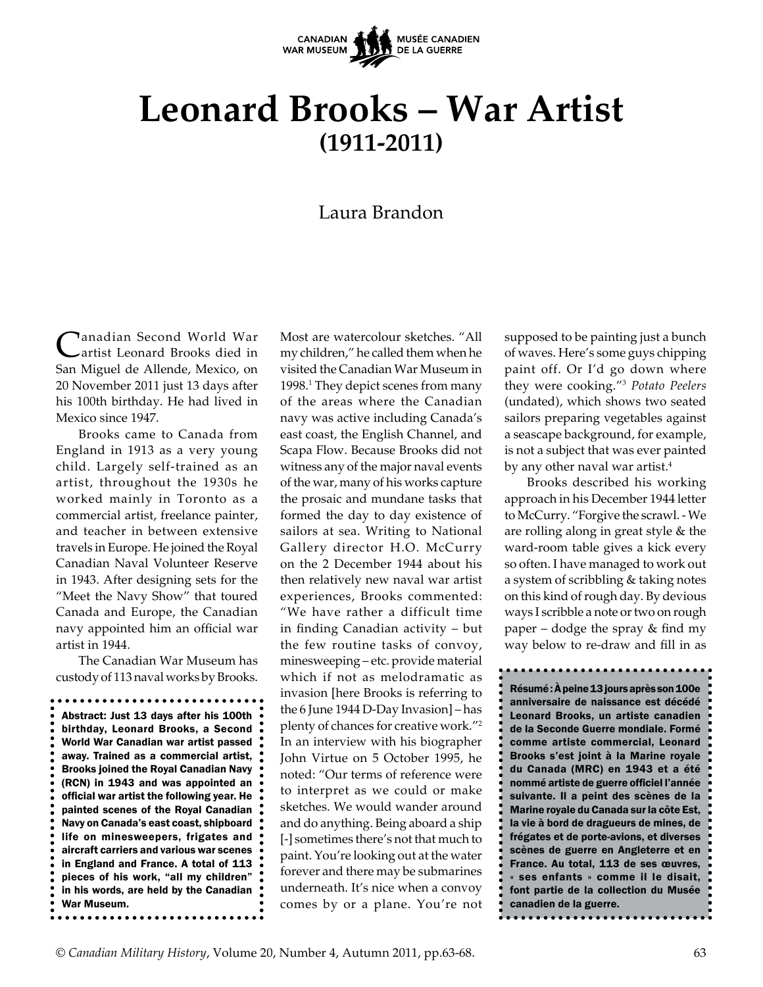

# **Leonard Brooks – War Artist (1911-2011)**

# Laura Brandon

**Lanadian Second World War** artist Leonard Brooks died in San Miguel de Allende, Mexico, on 20 November 2011 just 13 days after his 100th birthday. He had lived in Mexico since 1947.

Brooks came to Canada from England in 1913 as a very young child. Largely self-trained as an artist, throughout the 1930s he worked mainly in Toronto as a commercial artist, freelance painter, and teacher in between extensive travels in Europe. He joined the Royal Canadian Naval Volunteer Reserve in 1943. After designing sets for the "Meet the Navy Show" that toured Canada and Europe, the Canadian navy appointed him an official war artist in 1944.

The Canadian War Museum has custody of 113 naval works by Brooks.

Abstract: Just 13 days after his 100th birthday, Leonard Brooks, a Second World War Canadian war artist passed away. Trained as a commercial artist, Brooks joined the Royal Canadian Navy (RCN) in 1943 and was appointed an official war artist the following year. He painted scenes of the Royal Canadian Navy on Canada's east coast, shipboard life on minesweepers, frigates and aircraft carriers and various war scenes in England and France. A total of 113 pieces of his work, "all my children" in his words, are held by the Canadian. War Museum.

Most are watercolour sketches. "All my children," he called them when he visited the Canadian War Museum in 1998.<sup>1</sup> They depict scenes from many of the areas where the Canadian navy was active including Canada's east coast, the English Channel, and Scapa Flow. Because Brooks did not witness any of the major naval events of the war, many of his works capture the prosaic and mundane tasks that formed the day to day existence of sailors at sea. Writing to National Gallery director H.O. McCurry on the 2 December 1944 about his then relatively new naval war artist experiences, Brooks commented: "We have rather a difficult time in finding Canadian activity – but the few routine tasks of convoy, minesweeping – etc. provide material which if not as melodramatic as invasion [here Brooks is referring to the 6 June 1944 D-Day Invasion] – has plenty of chances for creative work."2 In an interview with his biographer John Virtue on 5 October 1995, he noted: "Our terms of reference were to interpret as we could or make sketches. We would wander around and do anything. Being aboard a ship [-] sometimes there's not that much to paint. You're looking out at the water forever and there may be submarines underneath. It's nice when a convoy comes by or a plane. You're not

supposed to be painting just a bunch of waves. Here's some guys chipping paint off. Or I'd go down where they were cooking."3 *Potato Peelers*  (undated), which shows two seated sailors preparing vegetables against a seascape background, for example, is not a subject that was ever painted by any other naval war artist.<sup>4</sup>

Brooks described his working approach in his December 1944 letter to McCurry. "Forgive the scrawl. - We are rolling along in great style & the ward-room table gives a kick every so often. I have managed to work out a system of scribbling & taking notes on this kind of rough day. By devious ways I scribble a note or two on rough paper – dodge the spray & find my way below to re-draw and fill in as

Résumé : À peine 13 jours après son 100e anniversaire de naissance est décédé Leonard Brooks, un artiste canadien de la Seconde Guerre mondiale. Formé comme artiste commercial, Leonard Brooks s'est joint à la Marine royale du Canada (MRC) en 1943 et a été nommé artiste de guerre officiel l'année suivante. Il a peint des scènes de la Marine royale du Canada sur la côte Est, la vie à bord de dragueurs de mines, de frégates et de porte-avions, et diverses scènes de guerre en Angleterre et en France. Au total, 113 de ses œuvres, « ses enfants » comme il le disait, font partie de la collection du Musée canadien de la guerre.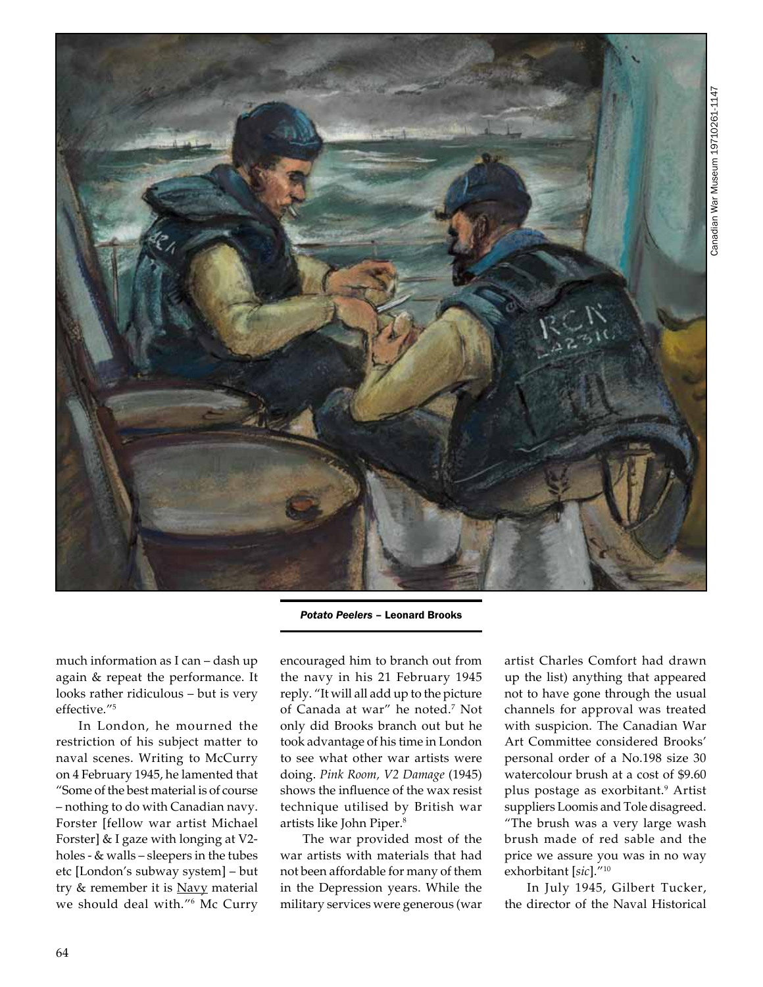

*Potato Peelers* – Leonard Brooks

much information as I can – dash up again & repeat the performance. It looks rather ridiculous – but is very effective."5

In London, he mourned the restriction of his subject matter to naval scenes. Writing to McCurry on 4 February 1945, he lamented that "Some of the best material is of course – nothing to do with Canadian navy. Forster [fellow war artist Michael Forster] & I gaze with longing at V2 holes - & walls – sleepers in the tubes etc [London's subway system] – but try & remember it is Navy material we should deal with."6 Mc Curry encouraged him to branch out from the navy in his 21 February 1945 reply. "It will all add up to the picture of Canada at war" he noted.7 Not only did Brooks branch out but he took advantage of his time in London to see what other war artists were doing. *Pink Room, V2 Damage* (1945) shows the influence of the wax resist technique utilised by British war artists like John Piper.8

The war provided most of the war artists with materials that had not been affordable for many of them in the Depression years. While the military services were generous (war

artist Charles Comfort had drawn up the list) anything that appeared not to have gone through the usual channels for approval was treated with suspicion. The Canadian War Art Committee considered Brooks' personal order of a No.198 size 30 watercolour brush at a cost of \$9.60 plus postage as exorbitant.<sup>9</sup> Artist suppliers Loomis and Tole disagreed. "The brush was a very large wash brush made of red sable and the price we assure you was in no way exhorbitant [*sic*]."10

In July 1945, Gilbert Tucker, the director of the Naval Historical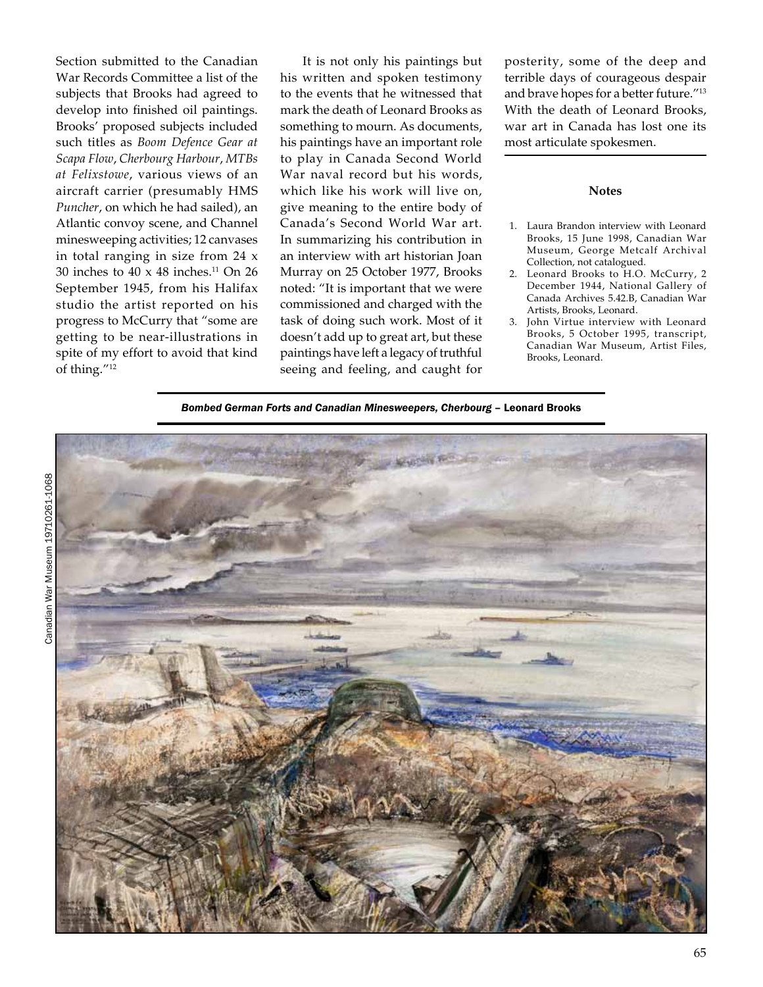Section submitted to the Canadian War Records Committee a list of the subjects that Brooks had agreed to develop into finished oil paintings. Brooks' proposed subjects included such titles as *Boom Defence Gear at Scapa Flow*, *Cherbourg Harbour*, *MTBs at Felixstowe*, various views of an aircraft carrier (presumably HMS *Puncher*, on which he had sailed), an Atlantic convoy scene, and Channel minesweeping activities; 12 canvases in total ranging in size from 24 x 30 inches to 40  $\times$  48 inches.<sup>11</sup> On 26 September 1945, from his Halifax studio the artist reported on his progress to McCurry that "some are getting to be near-illustrations in spite of my effort to avoid that kind of thing."12

It is not only his paintings but his written and spoken testimony to the events that he witnessed that mark the death of Leonard Brooks as something to mourn. As documents, his paintings have an important role to play in Canada Second World War naval record but his words, which like his work will live on, give meaning to the entire body of Canada's Second World War art. In summarizing his contribution in an interview with art historian Joan Murray on 25 October 1977, Brooks noted: "It is important that we were commissioned and charged with the task of doing such work. Most of it doesn't add up to great art, but these paintings have left a legacy of truthful seeing and feeling, and caught for

posterity, some of the deep and terrible days of courageous despair and brave hopes for a better future."13 With the death of Leonard Brooks, war art in Canada has lost one its most articulate spokesmen.

## **Notes**

- 1. Laura Brandon interview with Leonard Brooks, 15 June 1998, Canadian War Museum, George Metcalf Archival Collection, not catalogued.
- 2. Leonard Brooks to H.O. McCurry, 2 December 1944, National Gallery of Canada Archives 5.42.B, Canadian War Artists, Brooks, Leonard.
- 3. John Virtue interview with Leonard Brooks, 5 October 1995, transcript, Canadian War Museum, Artist Files, Brooks, Leonard.

*Bombed German Forts and Canadian Minesweepers, Cherbourg* – Leonard Brooks

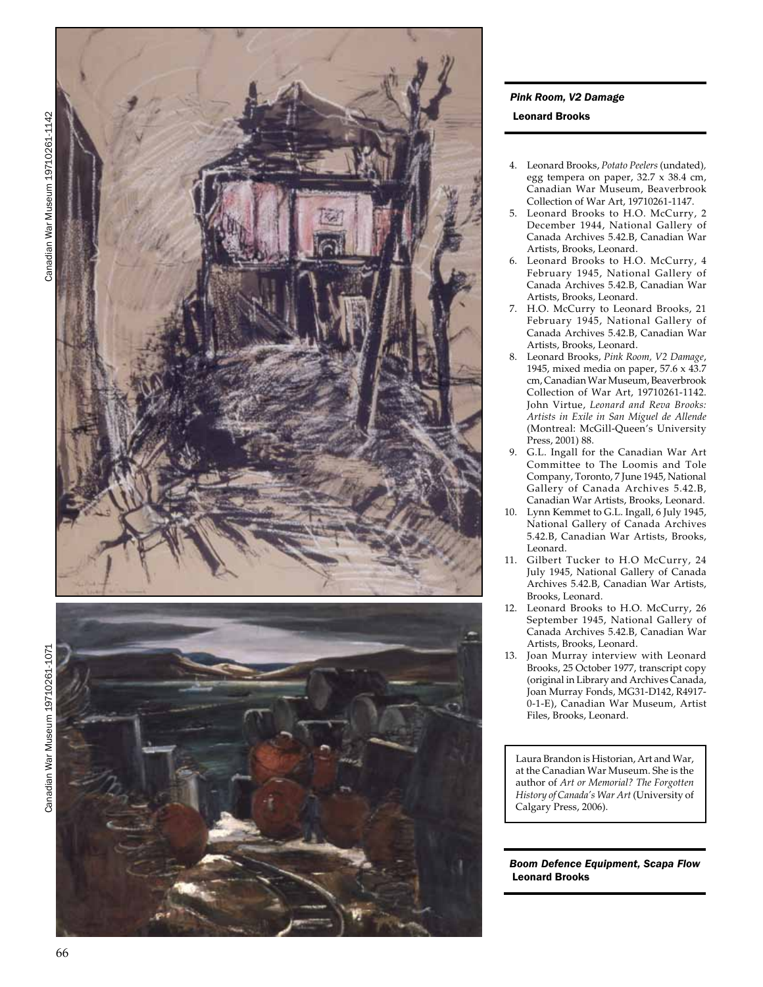



# *Pink Room, V2 Damage*

#### Leonard Brooks

- 4. Leonard Brooks, *Potato Peelers* (undated)*,*  egg tempera on paper, 32.7 x 38.4 cm, Canadian War Museum, Beaverbrook Collection of War Art, 19710261-1147.
- 5. Leonard Brooks to H.O. McCurry, 2 December 1944, National Gallery of Canada Archives 5.42.B, Canadian War Artists, Brooks, Leonard.
- 6. Leonard Brooks to H.O. McCurry, 4 February 1945, National Gallery of Canada Archives 5.42.B, Canadian War Artists, Brooks, Leonard.
- 7. H.O. McCurry to Leonard Brooks, 21 February 1945, National Gallery of Canada Archives 5.42.B, Canadian War Artists, Brooks, Leonard.
- 8. Leonard Brooks, *Pink Room, V2 Damage*, 1945, mixed media on paper, 57.6 x 43.7 cm, Canadian War Museum, Beaverbrook Collection of War Art, 19710261-1142. John Virtue, *Leonard and Reva Brooks: Artists in Exile in San Miguel de Allende*  (Montreal: McGill-Queen's University Press, 2001) 88.
- 9. G.L. Ingall for the Canadian War Art Committee to The Loomis and Tole Company, Toronto, 7 June 1945, National Gallery of Canada Archives 5.42.B, Canadian War Artists, Brooks, Leonard.
- 10. Lynn Kemmet to G.L. Ingall, 6 July 1945, National Gallery of Canada Archives 5.42.B, Canadian War Artists, Brooks, Leonard.
- 11. Gilbert Tucker to H.O McCurry, 24 July 1945, National Gallery of Canada Archives 5.42.B, Canadian War Artists, Brooks, Leonard.
- 12. Leonard Brooks to H.O. McCurry, 26 September 1945, National Gallery of Canada Archives 5.42.B, Canadian War Artists, Brooks, Leonard.
- 13. Joan Murray interview with Leonard Brooks, 25 October 1977, transcript copy (original in Library and Archives Canada, Joan Murray Fonds, MG31-D142, R4917- 0-1-E), Canadian War Museum, Artist Files, Brooks, Leonard.

Laura Brandon is Historian, Art and War, at the Canadian War Museum. She is the author of *Art or Memorial? The Forgotten History of Canada's War Art* (University of Calgary Press, 2006).

### *Boom Defence Equipment, Scapa Flow* Leonard Brooks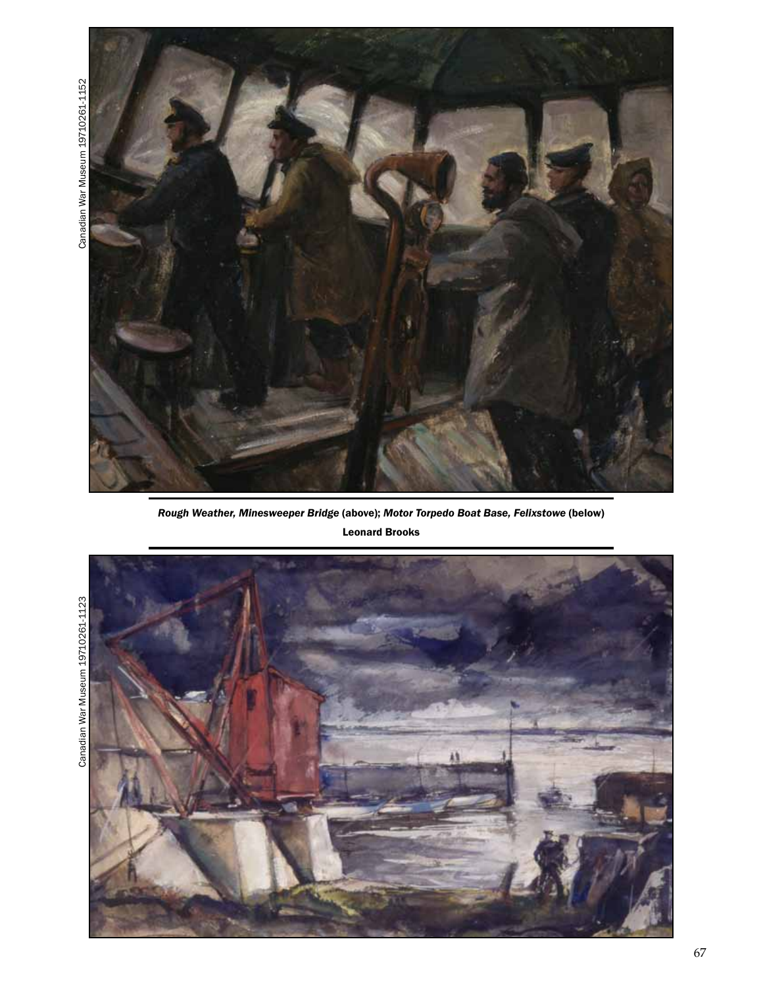

*Rough Weather, Minesweeper Bridge* (above); *Motor Torpedo Boat Base, Felixstowe* (below) Leonard Brooks